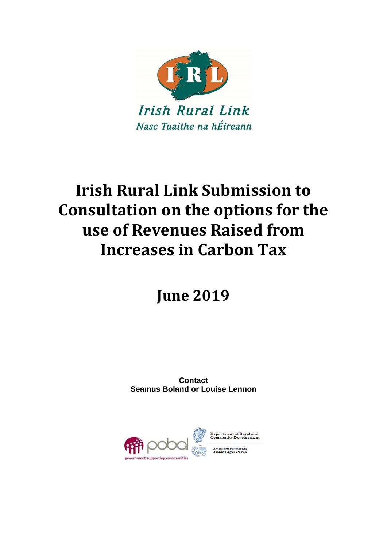

# **Irish Rural Link Submission to Consultation on the options for the use of Revenues Raised from Increases in Carbon Tax**

**June 2019**

**Contact Seamus Boland or Louise Lennon**

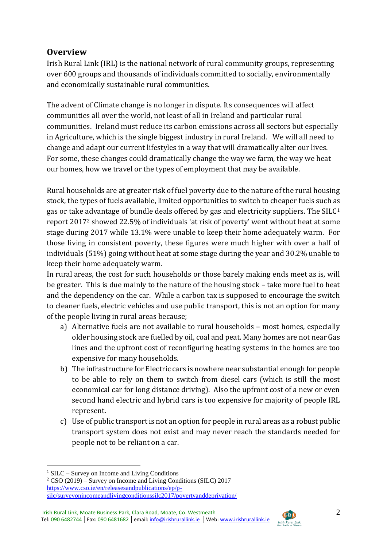## **Overview**

Irish Rural Link (IRL) is the national network of rural community groups, representing over 600 groups and thousands of individuals committed to socially, environmentally and economically sustainable rural communities.

The advent of Climate change is no longer in dispute. Its consequences will affect communities all over the world, not least of all in Ireland and particular rural communities. Ireland must reduce its carbon emissions across all sectors but especially in Agriculture, which is the single biggest industry in rural Ireland. We will all need to change and adapt our current lifestyles in a way that will dramatically alter our lives. For some, these changes could dramatically change the way we farm, the way we heat our homes, how we travel or the types of employment that may be available.

Rural households are at greater risk of fuel poverty due to the nature of the rural housing stock, the types of fuels available, limited opportunities to switch to cheaper fuels such as gas or take advantage of bundle deals offered by gas and electricity suppliers. The SILC<sup>1</sup> report 2017<sup>2</sup> showed 22.5% of individuals 'at risk of poverty' went without heat at some stage during 2017 while 13.1% were unable to keep their home adequately warm. For those living in consistent poverty, these figures were much higher with over a half of individuals (51%) going without heat at some stage during the year and 30.2% unable to keep their home adequately warm.

In rural areas, the cost for such households or those barely making ends meet as is, will be greater. This is due mainly to the nature of the housing stock – take more fuel to heat and the dependency on the car. While a carbon tax is supposed to encourage the switch to cleaner fuels, electric vehicles and use public transport, this is not an option for many of the people living in rural areas because;

- a) Alternative fuels are not available to rural households most homes, especially older housing stock are fuelled by oil, coal and peat. Many homes are not near Gas lines and the upfront cost of reconfiguring heating systems in the homes are too expensive for many households.
- b) The infrastructure for Electric cars is nowhere near substantial enough for people to be able to rely on them to switch from diesel cars (which is still the most economical car for long distance driving). Also the upfront cost of a new or even second hand electric and hybrid cars is too expensive for majority of people IRL represent.
- c) Use of public transport is not an option for people in rural areas as a robust public transport system does not exist and may never reach the standards needed for people not to be reliant on a car.

1

Irish Rural Link, Moate Business Park, Clara Road, Moate, Co. Westmeath Tel: 090 6482744 │Fax: 090 6481682 │email[: info@irishrurallink.ie](mailto:info@irishrurallink.ie) │Web[: www.irishrurallink.ie](http://www.irishrurallink.ie/)



 $1$  SILC – Survey on Income and Living Conditions

 $2$  CSO (2019) – Survey on Income and Living Conditions (SILC) 2017 [https://www.cso.ie/en/releasesandpublications/ep/p](https://www.cso.ie/en/releasesandpublications/ep/p-silc/surveyonincomeandlivingconditionssilc2017/povertyanddeprivation/)[silc/surveyonincomeandlivingconditionssilc2017/povertyanddeprivation/](https://www.cso.ie/en/releasesandpublications/ep/p-silc/surveyonincomeandlivingconditionssilc2017/povertyanddeprivation/)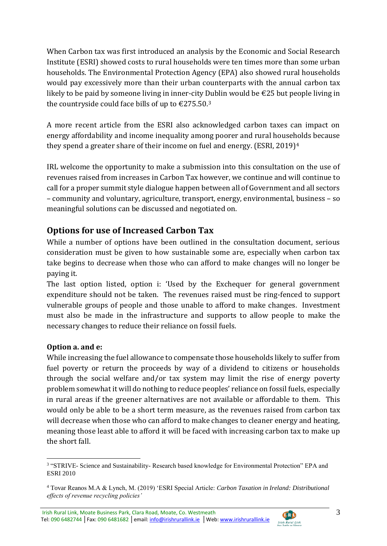When Carbon tax was first introduced an analysis by the Economic and Social Research Institute (ESRI) showed costs to rural households were ten times more than some urban households. The Environmental Protection Agency (EPA) also showed rural households would pay excessively more than their urban counterparts with the annual carbon tax likely to be paid by someone living in inner-city Dublin would be €25 but people living in the countryside could face bills of up to  $\epsilon$ 275.50.<sup>3</sup>

A more recent article from the ESRI also acknowledged carbon taxes can impact on energy affordability and income inequality among poorer and rural households because they spend a greater share of their income on fuel and energy. (ESRI, 2019)<sup>4</sup>

IRL welcome the opportunity to make a submission into this consultation on the use of revenues raised from increases in Carbon Tax however, we continue and will continue to call for a proper summit style dialogue happen between all of Government and all sectors – community and voluntary, agriculture, transport, energy, environmental, business – so meaningful solutions can be discussed and negotiated on.

# **Options for use of Increased Carbon Tax**

While a number of options have been outlined in the consultation document, serious consideration must be given to how sustainable some are, especially when carbon tax take begins to decrease when those who can afford to make changes will no longer be paying it.

The last option listed, option i: 'Used by the Exchequer for general government expenditure should not be taken. The revenues raised must be ring-fenced to support vulnerable groups of people and those unable to afford to make changes. Investment must also be made in the infrastructure and supports to allow people to make the necessary changes to reduce their reliance on fossil fuels.

### **Option a. and e:**

<u>.</u>

While increasing the fuel allowance to compensate those households likely to suffer from fuel poverty or return the proceeds by way of a dividend to citizens or households through the social welfare and/or tax system may limit the rise of energy poverty problem somewhat it will do nothing to reduce peoples' reliance on fossil fuels, especially in rural areas if the greener alternatives are not available or affordable to them. This would only be able to be a short term measure, as the revenues raised from carbon tax will decrease when those who can afford to make changes to cleaner energy and heating, meaning those least able to afford it will be faced with increasing carbon tax to make up the short fall.



<sup>&</sup>lt;sup>3</sup> "STRIVE- Science and Sustainability- Research based knowledge for Environmental Protection" EPA and ESRI 2010

<sup>4</sup> Tovar Reanos M.A & Lynch, M. (2019) 'ESRI Special Article: *Carbon Taxation in Ireland: Distributional effects of revenue recycling policies'*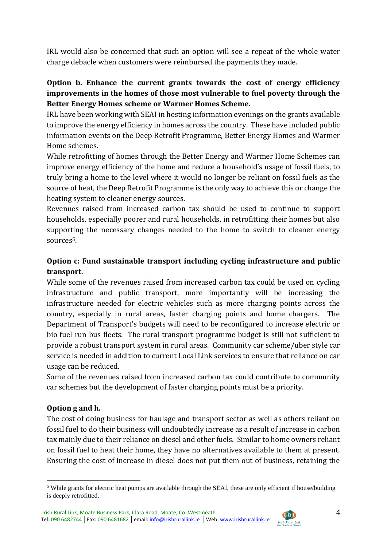IRL would also be concerned that such an option will see a repeat of the whole water charge debacle when customers were reimbursed the payments they made.

### **Option b. Enhance the current grants towards the cost of energy efficiency improvements in the homes of those most vulnerable to fuel poverty through the Better Energy Homes scheme or Warmer Homes Scheme.**

IRL have been working with SEAI in hosting information evenings on the grants available to improve the energy efficiency in homes across the country. These have included public information events on the Deep Retrofit Programme, Better Energy Homes and Warmer Home schemes.

While retrofitting of homes through the Better Energy and Warmer Home Schemes can improve energy efficiency of the home and reduce a household's usage of fossil fuels, to truly bring a home to the level where it would no longer be reliant on fossil fuels as the source of heat, the Deep Retrofit Programme is the only way to achieve this or change the heating system to cleaner energy sources.

Revenues raised from increased carbon tax should be used to continue to support households, especially poorer and rural households, in retrofitting their homes but also supporting the necessary changes needed to the home to switch to cleaner energy sources5.

## **Option c: Fund sustainable transport including cycling infrastructure and public transport.**

While some of the revenues raised from increased carbon tax could be used on cycling infrastructure and public transport, more importantly will be increasing the infrastructure needed for electric vehicles such as more charging points across the country, especially in rural areas, faster charging points and home chargers. The Department of Transport's budgets will need to be reconfigured to increase electric or bio fuel run bus fleets. The rural transport programme budget is still not sufficient to provide a robust transport system in rural areas. Community car scheme/uber style car service is needed in addition to current Local Link services to ensure that reliance on car usage can be reduced.

Some of the revenues raised from increased carbon tax could contribute to community car schemes but the development of faster charging points must be a priority.

### **Option g and h.**

<u>.</u>

The cost of doing business for haulage and transport sector as well as others reliant on fossil fuel to do their business will undoubtedly increase as a result of increase in carbon tax mainly due to their reliance on diesel and other fuels. Similar to home owners reliant on fossil fuel to heat their home, they have no alternatives available to them at present. Ensuring the cost of increase in diesel does not put them out of business, retaining the



<sup>5</sup> While grants for electric heat pumps are available through the SEAI, these are only efficient if house/building is deeply retrofitted.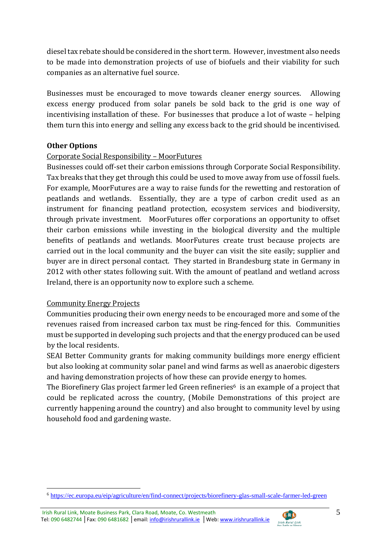diesel tax rebate should be considered in the short term. However, investment also needs to be made into demonstration projects of use of biofuels and their viability for such companies as an alternative fuel source.

Businesses must be encouraged to move towards cleaner energy sources. Allowing excess energy produced from solar panels be sold back to the grid is one way of incentivising installation of these. For businesses that produce a lot of waste – helping them turn this into energy and selling any excess back to the grid should be incentivised.

#### **Other Options**

#### Corporate Social Responsibility – MoorFutures

Businesses could off-set their carbon emissions through Corporate Social Responsibility. Tax breaks that they get through this could be used to move away from use of fossil fuels. For example, MoorFutures are a way to raise funds for the rewetting and restoration of peatlands and wetlands. Essentially, they are a type of carbon credit used as an instrument for financing peatland protection, ecosystem services and biodiversity, through private investment. MoorFutures offer corporations an opportunity to offset their carbon emissions while investing in the biological diversity and the multiple benefits of peatlands and wetlands. MoorFutures create trust because projects are carried out in the local community and the buyer can visit the site easily; supplier and buyer are in direct personal contact. They started in Brandesburg state in Germany in 2012 with other states following suit. With the amount of peatland and wetland across Ireland, there is an opportunity now to explore such a scheme.

#### Community Energy Projects

1

Communities producing their own energy needs to be encouraged more and some of the revenues raised from increased carbon tax must be ring-fenced for this. Communities must be supported in developing such projects and that the energy produced can be used by the local residents.

SEAI Better Community grants for making community buildings more energy efficient but also looking at community solar panel and wind farms as well as anaerobic digesters and having demonstration projects of how these can provide energy to homes.

The Biorefinery Glas project farmer led Green refineries<sup>6</sup> is an example of a project that could be replicated across the country, (Mobile Demonstrations of this project are currently happening around the country) and also brought to community level by using household food and gardening waste.



<sup>6</sup> <https://ec.europa.eu/eip/agriculture/en/find-connect/projects/biorefinery-glas-small-scale-farmer-led-green>